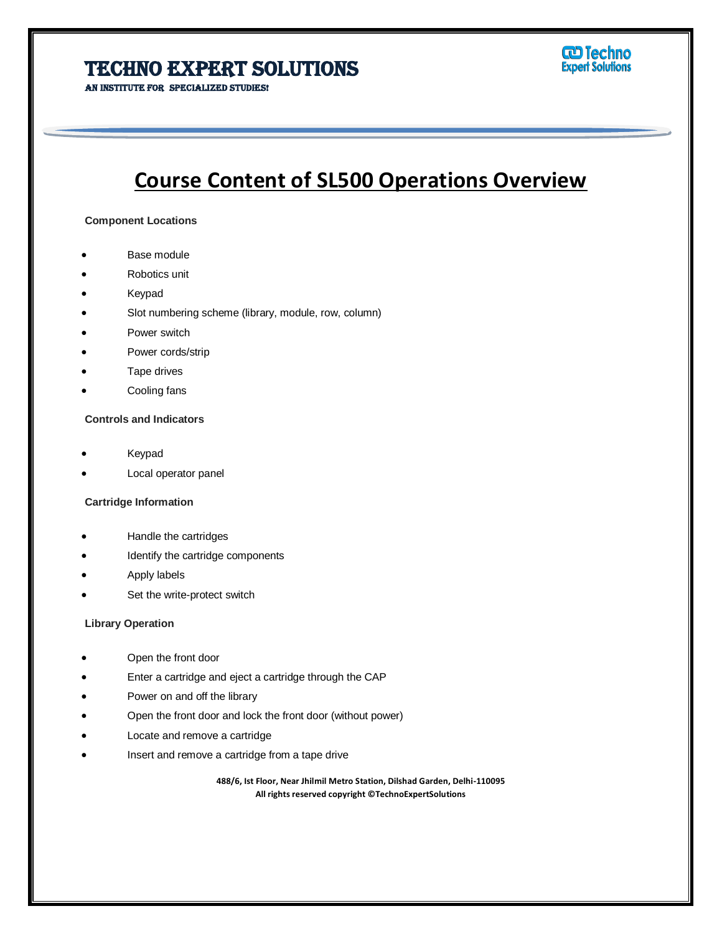# **TECHNO EXPERT SOLUTIONS**

AN INSTITUTE FOR SPECIALIZED STUDIES!



# **Course Content of SL500 Operations Overview**

#### **Component Locations**

- Base module
- Robotics unit
- Keypad

Ī

- Slot numbering scheme (library, module, row, column)
- Power switch
- Power cords/strip
- Tape drives
- Cooling fans

#### **Controls and Indicators**

- Keypad
- Local operator panel

#### **Cartridge Information**

- Handle the cartridges
- Identify the cartridge components
- Apply labels
- Set the write-protect switch

#### **Library Operation**

- Open the front door
- Enter a cartridge and eject a cartridge through the CAP
- Power on and off the library
- Open the front door and lock the front door (without power)
- Locate and remove a cartridge
- Insert and remove a cartridge from a tape drive

**488/6, Ist Floor, Near Jhilmil Metro Station, Dilshad Garden, Delhi-110095 All rights reserved copyright ©TechnoExpertSolutions**